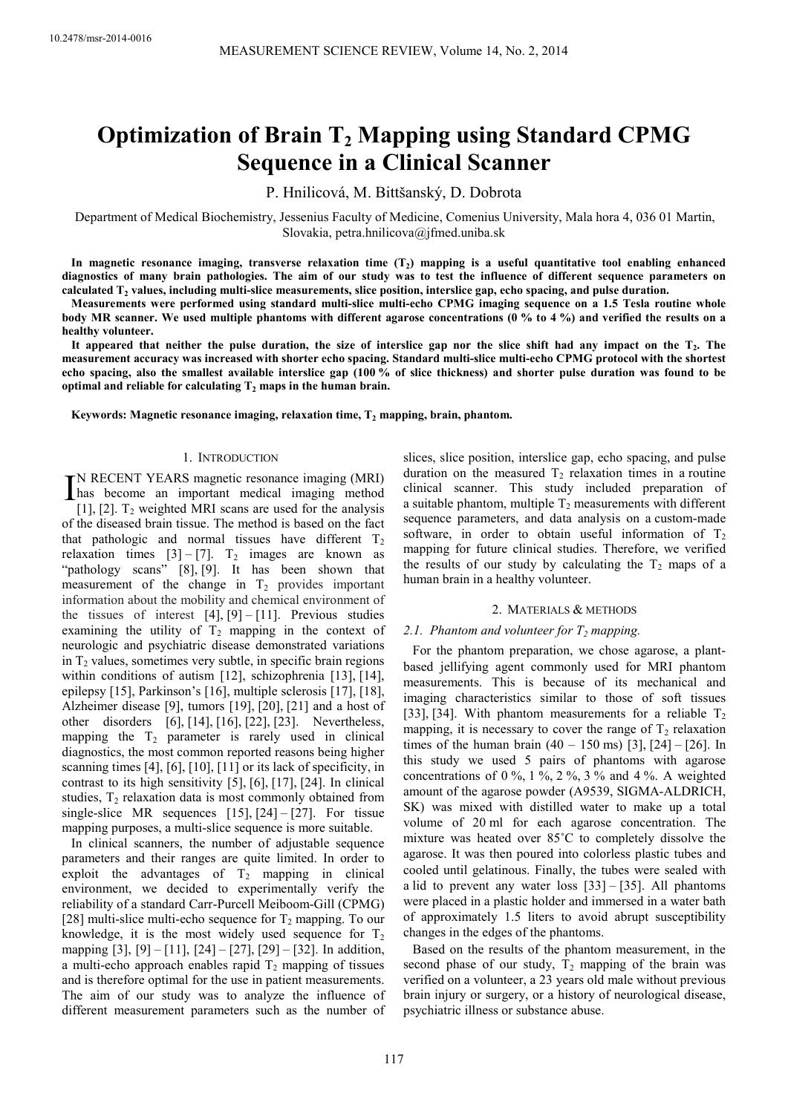# **Optimization of Brain T2 Mapping using Standard CPMG Sequence in a Clinical Scanner**

P. Hnilicová, M. Bittšanský, D. Dobrota

Department of Medical Biochemistry, Jessenius Faculty of Medicine, Comenius University, Mala hora 4, 036 01 Martin, Slovakia, petra.hnilicova@jfmed.uniba.sk

**In magnetic resonance imaging, transverse relaxation time (T<sup>2</sup> ) mapping is a useful quantitative tool enabling enhanced diagnostics of many brain pathologies. The aim of our study was to test the influence of different sequence parameters on calculated T<sup>2</sup> values, including multi-slice measurements, slice position, interslice gap, echo spacing, and pulse duration.** 

**Measurements were performed using standard multi-slice multi-echo CPMG imaging sequence on a 1.5 Tesla routine whole body MR scanner. We used multiple phantoms with different agarose concentrations (0 % to 4 %) and verified the results on a healthy volunteer.** 

**It appeared that neither the pulse duration, the size of interslice gap nor the slice shift had any impact on the T<sup>2</sup> . The measurement accuracy was increased with shorter echo spacing. Standard multi-slice multi-echo CPMG protocol with the shortest echo spacing, also the smallest available interslice gap (100 % of slice thickness) and shorter pulse duration was found to be optimal and reliable for calculating T<sup>2</sup> maps in the human brain.** 

**Keywords: Magnetic resonance imaging, relaxation time, T<sup>2</sup> mapping, brain, phantom.** 

# 1. INTRODUCTION

N RECENT YEARS magnetic resonance imaging (MRI) IN RECENT YEARS magnetic resonance imaging (MRI)<br>has become an important medical imaging method<br>[11.12] T, weighted MPI game are used for the analysis [1], [2].  $T_2$  weighted MRI scans are used for the analysis of the diseased brain tissue. The method is based on the fact that pathologic and normal tissues have different  $T_2$ relaxation times  $[3] - [7]$ . T<sub>2</sub> images are known as "pathology scans" [8], [9]. It has been shown that measurement of the change in  $T_2$  provides important information about the mobility and chemical environment of the tissues of interest  $[4]$ ,  $[9] - [11]$ . Previous studies examining the utility of  $T_2$  mapping in the context of neurologic and psychiatric disease demonstrated variations in  $T_2$  values, sometimes very subtle, in specific brain regions within conditions of autism [12], schizophrenia [13], [14], epilepsy [15], Parkinson's [16], multiple sclerosis [17], [18], Alzheimer disease [9], tumors [19], [20], [21] and a host of other disorders [6], [14], [16], [22], [23]. Nevertheless, mapping the  $T_2$  parameter is rarely used in clinical diagnostics, the most common reported reasons being higher scanning times [4], [6], [10], [11] or its lack of specificity, in contrast to its high sensitivity [5], [6], [17], [24]. In clinical studies,  $T_2$  relaxation data is most commonly obtained from single-slice MR sequences  $[15]$ ,  $[24] - [27]$ . For tissue mapping purposes, a multi-slice sequence is more suitable.

In clinical scanners, the number of adjustable sequence parameters and their ranges are quite limited. In order to exploit the advantages of  $T_2$  mapping in clinical environment, we decided to experimentally verify the reliability of a standard Carr-Purcell Meiboom-Gill (CPMG) [28] multi-slice multi-echo sequence for  $T_2$  mapping. To our knowledge, it is the most widely used sequence for  $T<sub>2</sub>$ mapping [3], [9] – [11], [24] – [27], [29] – [32]. In addition, a multi-echo approach enables rapid  $T_2$  mapping of tissues and is therefore optimal for the use in patient measurements. The aim of our study was to analyze the influence of different measurement parameters such as the number of slices, slice position, interslice gap, echo spacing, and pulse duration on the measured  $T_2$  relaxation times in a routine clinical scanner. This study included preparation of a suitable phantom, multiple  $T_2$  measurements with different sequence parameters, and data analysis on a custom-made software, in order to obtain useful information of  $T<sub>2</sub>$ mapping for future clinical studies. Therefore, we verified the results of our study by calculating the  $T_2$  maps of a human brain in a healthy volunteer.

#### 2. MATERIALS & METHODS

## *2.1. Phantom and volunteer for T<sub>2</sub> mapping.*

For the phantom preparation, we chose agarose, a plantbased jellifying agent commonly used for MRI phantom measurements. This is because of its mechanical and imaging characteristics similar to those of soft tissues [33], [34]. With phantom measurements for a reliable  $T_2$ mapping, it is necessary to cover the range of  $T_2$  relaxation times of the human brain  $(40 - 150 \text{ ms})$  [3], [24] – [26]. In this study we used 5 pairs of phantoms with agarose concentrations of 0 %, 1 %, 2 %, 3 % and 4 %. A weighted amount of the agarose powder (A9539, SIGMA-ALDRICH, SK) was mixed with distilled water to make up a total volume of 20 ml for each agarose concentration. The mixture was heated over 85˚C to completely dissolve the agarose. It was then poured into colorless plastic tubes and cooled until gelatinous. Finally, the tubes were sealed with a lid to prevent any water loss  $[33] - [35]$ . All phantoms were placed in a plastic holder and immersed in a water bath of approximately 1.5 liters to avoid abrupt susceptibility changes in the edges of the phantoms.

Based on the results of the phantom measurement, in the second phase of our study,  $T_2$  mapping of the brain was verified on a volunteer, a 23 years old male without previous brain injury or surgery, or a history of neurological disease, psychiatric illness or substance abuse.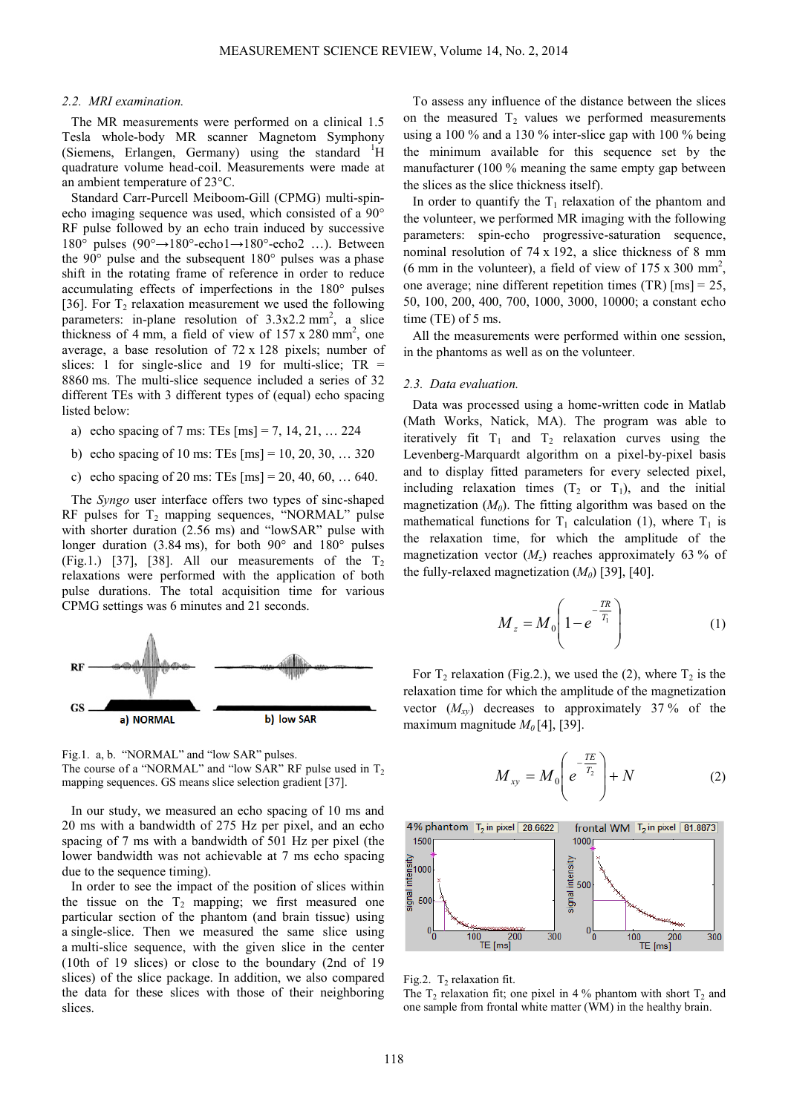# *2.2. MRI examination.*

The MR measurements were performed on a clinical 1.5 Tesla whole-body MR scanner Magnetom Symphony (Siemens, Erlangen, Germany) using the standard  $\rm{^1H}$ quadrature volume head-coil. Measurements were made at an ambient temperature of 23°C.

Standard Carr-Purcell Meiboom-Gill (CPMG) multi-spinecho imaging sequence was used, which consisted of a 90° RF pulse followed by an echo train induced by successive 180° pulses (90°→180°-echo1→180°-echo2 …). Between the 90° pulse and the subsequent 180° pulses was a phase shift in the rotating frame of reference in order to reduce accumulating effects of imperfections in the 180° pulses [36]. For  $T_2$  relaxation measurement we used the following parameters: in-plane resolution of  $3.3x2.2 \text{ mm}^2$ , a slice thickness of 4 mm, a field of view of  $157 \times 280$  mm<sup>2</sup>, one average, a base resolution of 72 x 128 pixels; number of slices: 1 for single-slice and 19 for multi-slice;  $TR =$ 8860 ms. The multi-slice sequence included a series of 32 different TEs with 3 different types of (equal) echo spacing listed below:

- a) echo spacing of 7 ms: TEs  $\text{[ms]} = 7, 14, 21, \ldots 224$
- b) echo spacing of 10 ms: TEs [ms] = 10, 20, 30, … 320
- c) echo spacing of 20 ms: TEs  $[ms] = 20, 40, 60, ... 640$ .

The *Syngo* user interface offers two types of sinc-shaped RF pulses for  $T_2$  mapping sequences, "NORMAL" pulse with shorter duration (2.56 ms) and "lowSAR" pulse with longer duration (3.84 ms), for both 90° and 180° pulses (Fig.1.) [37], [38]. All our measurements of the  $T_2$ relaxations were performed with the application of both pulse durations. The total acquisition time for various CPMG settings was 6 minutes and 21 seconds.



Fig.1. a, b. "NORMAL" and "low SAR" pulses. The course of a "NORMAL" and "low SAR" RF pulse used in  $T_2$ mapping sequences. GS means slice selection gradient [37].

In our study, we measured an echo spacing of 10 ms and 20 ms with a bandwidth of 275 Hz per pixel, and an echo spacing of 7 ms with a bandwidth of 501 Hz per pixel (the lower bandwidth was not achievable at 7 ms echo spacing due to the sequence timing).

In order to see the impact of the position of slices within the tissue on the  $T_2$  mapping; we first measured one particular section of the phantom (and brain tissue) using a single-slice. Then we measured the same slice using a multi-slice sequence, with the given slice in the center (10th of 19 slices) or close to the boundary (2nd of 19 slices) of the slice package. In addition, we also compared the data for these slices with those of their neighboring slices.

To assess any influence of the distance between the slices on the measured  $T<sub>2</sub>$  values we performed measurements using a 100 % and a 130 % inter-slice gap with 100 % being the minimum available for this sequence set by the manufacturer (100 % meaning the same empty gap between the slices as the slice thickness itself).

In order to quantify the  $T_1$  relaxation of the phantom and the volunteer, we performed MR imaging with the following parameters: spin-echo progressive-saturation sequence, nominal resolution of 74 x 192, a slice thickness of 8 mm (6 mm in the volunteer), a field of view of  $175 \times 300$  mm<sup>2</sup>, one average; nine different repetition times (TR) [ms] = 25, 50, 100, 200, 400, 700, 1000, 3000, 10000; a constant echo time (TE) of 5 ms.

All the measurements were performed within one session, in the phantoms as well as on the volunteer.

#### *2.3. Data evaluation.*

Data was processed using a home-written code in Matlab (Math Works, Natick, MA). The program was able to iteratively fit  $T_1$  and  $T_2$  relaxation curves using the Levenberg-Marquardt algorithm on a pixel-by-pixel basis and to display fitted parameters for every selected pixel, including relaxation times  $(T_2 \text{ or } T_1)$ , and the initial magnetization (*M0*). The fitting algorithm was based on the mathematical functions for  $T_1$  calculation (1), where  $T_1$  is the relaxation time, for which the amplitude of the magnetization vector  $(M_z)$  reaches approximately 63 % of the fully-relaxed magnetization  $(M_0)$  [39], [40].

$$
M_z = M_0 \left( 1 - e^{-\frac{TR}{T_1}} \right) \tag{1}
$$

For  $T_2$  relaxation (Fig.2.), we used the (2), where  $T_2$  is the relaxation time for which the amplitude of the magnetization vector  $(M_{xy})$  decreases to approximately 37% of the maximum magnitude  $M_0[4]$ , [39].

$$
M_{xy} = M_0 \left( e^{-\frac{TE}{T_2}} \right) + N \tag{2}
$$



Fig.2.  $T_2$  relaxation fit.

The  $T_2$  relaxation fit; one pixel in 4 % phantom with short  $T_2$  and one sample from frontal white matter (WM) in the healthy brain.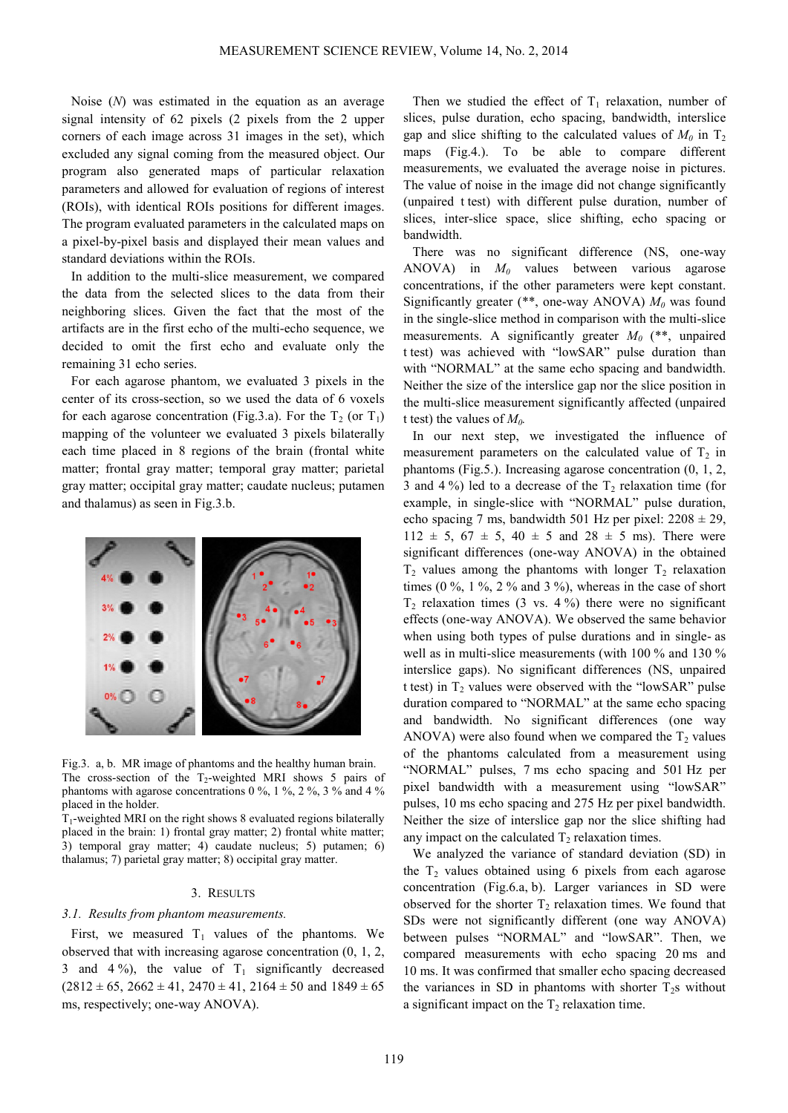Noise (*N*) was estimated in the equation as an average signal intensity of 62 pixels (2 pixels from the 2 upper corners of each image across 31 images in the set), which excluded any signal coming from the measured object. Our program also generated maps of particular relaxation parameters and allowed for evaluation of regions of interest (ROIs), with identical ROIs positions for different images. The program evaluated parameters in the calculated maps on a pixel-by-pixel basis and displayed their mean values and standard deviations within the ROIs.

In addition to the multi-slice measurement, we compared the data from the selected slices to the data from their neighboring slices. Given the fact that the most of the artifacts are in the first echo of the multi-echo sequence, we decided to omit the first echo and evaluate only the remaining 31 echo series.

For each agarose phantom, we evaluated 3 pixels in the center of its cross-section, so we used the data of 6 voxels for each agarose concentration (Fig.3.a). For the  $T_2$  (or  $T_1$ ) mapping of the volunteer we evaluated 3 pixels bilaterally each time placed in 8 regions of the brain (frontal white matter; frontal gray matter; temporal gray matter; parietal gray matter; occipital gray matter; caudate nucleus; putamen and thalamus) as seen in Fig.3.b.



Fig.3. a, b. MR image of phantoms and the healthy human brain. The cross-section of the  $T_2$ -weighted MRI shows 5 pairs of phantoms with agarose concentrations  $0\%$ ,  $1\%$ ,  $2\%$ ,  $3\%$  and  $4\%$ placed in the holder.

 $T_1$ -weighted MRI on the right shows 8 evaluated regions bilaterally placed in the brain: 1) frontal gray matter; 2) frontal white matter; 3) temporal gray matter; 4) caudate nucleus; 5) putamen; 6) thalamus; 7) parietal gray matter; 8) occipital gray matter.

# 3. RESULTS

## *3.1. Results from phantom measurements.*

First, we measured  $T_1$  values of the phantoms. We observed that with increasing agarose concentration (0, 1, 2, 3 and 4%), the value of  $T_1$  significantly decreased  $(2812 \pm 65, 2662 \pm 41, 2470 \pm 41, 2164 \pm 50 \text{ and } 1849 \pm 65$ ms, respectively; one-way ANOVA).

Then we studied the effect of  $T_1$  relaxation, number of slices, pulse duration, echo spacing, bandwidth, interslice gap and slice shifting to the calculated values of  $M_0$  in  $T_2$ maps (Fig.4.). To be able to compare different measurements, we evaluated the average noise in pictures. The value of noise in the image did not change significantly (unpaired t test) with different pulse duration, number of slices, inter-slice space, slice shifting, echo spacing or bandwidth.

There was no significant difference (NS, one-way ANOVA) in *M0* values between various agarose concentrations, if the other parameters were kept constant. Significantly greater (\*\*, one-way ANOVA) *M0* was found in the single-slice method in comparison with the multi-slice measurements. A significantly greater *M0* (\*\*, unpaired t test) was achieved with "lowSAR" pulse duration than with "NORMAL" at the same echo spacing and bandwidth. Neither the size of the interslice gap nor the slice position in the multi-slice measurement significantly affected (unpaired t test) the values of  $M_0$ .

In our next step, we investigated the influence of measurement parameters on the calculated value of  $T_2$  in phantoms (Fig.5.). Increasing agarose concentration (0, 1, 2, 3 and 4 %) led to a decrease of the  $T<sub>2</sub>$  relaxation time (for example, in single-slice with "NORMAL" pulse duration, echo spacing 7 ms, bandwidth 501 Hz per pixel:  $2208 \pm 29$ ,  $112 \pm 5$ ,  $67 \pm 5$ ,  $40 \pm 5$  and  $28 \pm 5$  ms). There were significant differences (one-way ANOVA) in the obtained  $T_2$  values among the phantoms with longer  $T_2$  relaxation times (0  $\%$ , 1  $\%$ , 2  $\%$  and 3  $\%$ ), whereas in the case of short  $T_2$  relaxation times (3 vs. 4%) there were no significant effects (one-way ANOVA). We observed the same behavior when using both types of pulse durations and in single- as well as in multi-slice measurements (with 100 % and 130 % interslice gaps). No significant differences (NS, unpaired t test) in  $T_2$  values were observed with the "lowSAR" pulse duration compared to "NORMAL" at the same echo spacing and bandwidth. No significant differences (one way ANOVA) were also found when we compared the  $T_2$  values of the phantoms calculated from a measurement using "NORMAL" pulses, 7 ms echo spacing and 501 Hz per pixel bandwidth with a measurement using "lowSAR" pulses, 10 ms echo spacing and 275 Hz per pixel bandwidth. Neither the size of interslice gap nor the slice shifting had any impact on the calculated  $T_2$  relaxation times.

We analyzed the variance of standard deviation (SD) in the  $T_2$  values obtained using 6 pixels from each agarose concentration (Fig.6.a, b). Larger variances in SD were observed for the shorter  $T_2$  relaxation times. We found that SDs were not significantly different (one way ANOVA) between pulses "NORMAL" and "lowSAR". Then, we compared measurements with echo spacing 20 ms and 10 ms. It was confirmed that smaller echo spacing decreased the variances in SD in phantoms with shorter  $T_2$ s without a significant impact on the  $T_2$  relaxation time.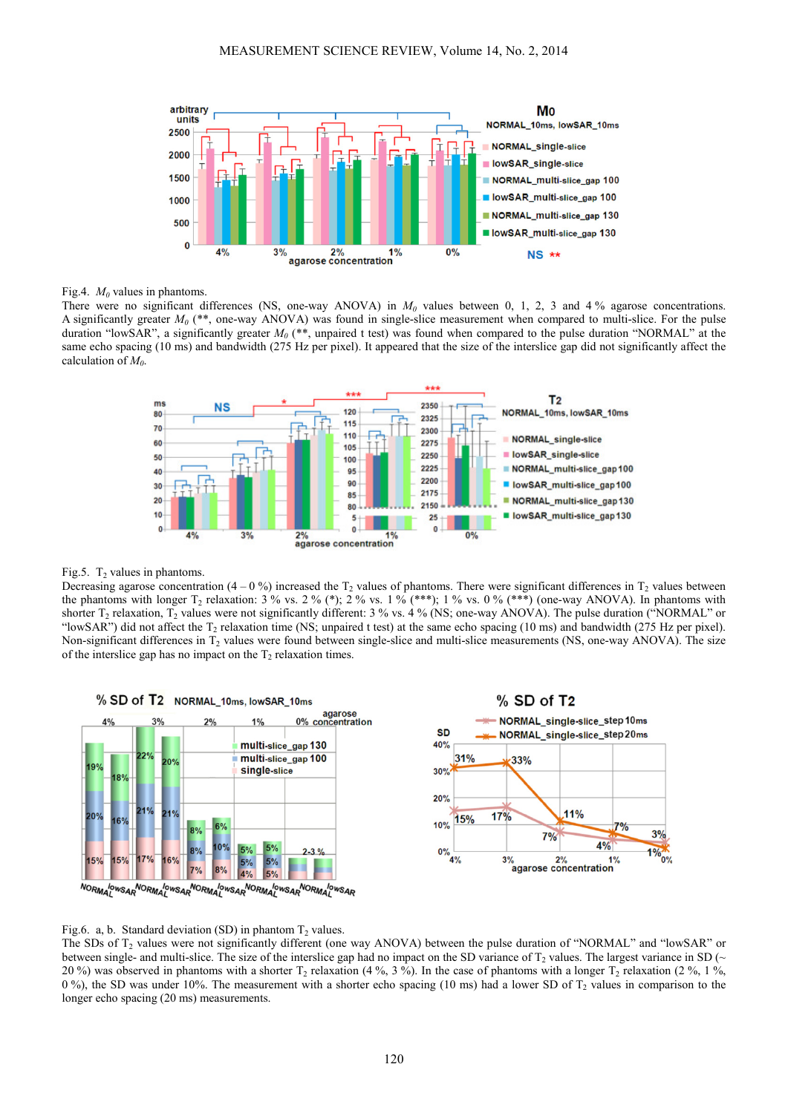

Fig.4.  $M_0$  values in phantoms.

There were no significant differences (NS, one-way ANOVA) in  $M_0$  values between 0, 1, 2, 3 and 4 % agarose concentrations. A significantly greater  $M_0$  (\*\*, one-way ANOVA) was found in single-slice measurement when compared to multi-slice. For the pulse duration "lowSAR", a significantly greater *M<sup>0</sup>* (\*\*, unpaired t test) was found when compared to the pulse duration "NORMAL" at the same echo spacing (10 ms) and bandwidth (275 Hz per pixel). It appeared that the size of the interslice gap did not significantly affect the calculation of *M<sup>0</sup>* .



## Fig.5.  $T_2$  values in phantoms.

Decreasing agarose concentration  $(4 - 0\%)$  increased the  $T_2$  values of phantoms. There were significant differences in  $T_2$  values between the phantoms with longer  $T_2$  relaxation:  $3\%$  vs.  $2\%$  (\*);  $2\%$  vs.  $1\%$  (\*\*\*);  $1\%$  vs.  $0\%$  (\*\*\*) (one-way ANOVA). In phantoms with shorter  $T_2$  relaxation,  $T_2$  values were not significantly different: 3 % vs. 4 % (NS; one-way ANOVA). The pulse duration ("NORMAL" or "lowSAR") did not affect the  $T_2$  relaxation time (NS; unpaired t test) at the same echo spacing (10 ms) and bandwidth (275 Hz per pixel). Non-significant differences in  $T_2$  values were found between single-slice and multi-slice measurements (NS, one-way ANOVA). The size of the interslice gap has no impact on the  $T_2$  relaxation times.



## Fig.6. a, b. Standard deviation (SD) in phantom  $T_2$  values.

The SDs of T<sub>2</sub> values were not significantly different (one way ANOVA) between the pulse duration of "NORMAL" and "lowSAR" or between single- and multi-slice. The size of the interslice gap had no impact on the SD variance of  $T_2$  values. The largest variance in SD ( $\sim$ 20%) was observed in phantoms with a shorter  $T_2$  relaxation (4%, 3%). In the case of phantoms with a longer  $T_2$  relaxation (2%, 1%,  $0\%$ ), the SD was under 10%. The measurement with a shorter echo spacing (10 ms) had a lower SD of T<sub>2</sub> values in comparison to the longer echo spacing (20 ms) measurements.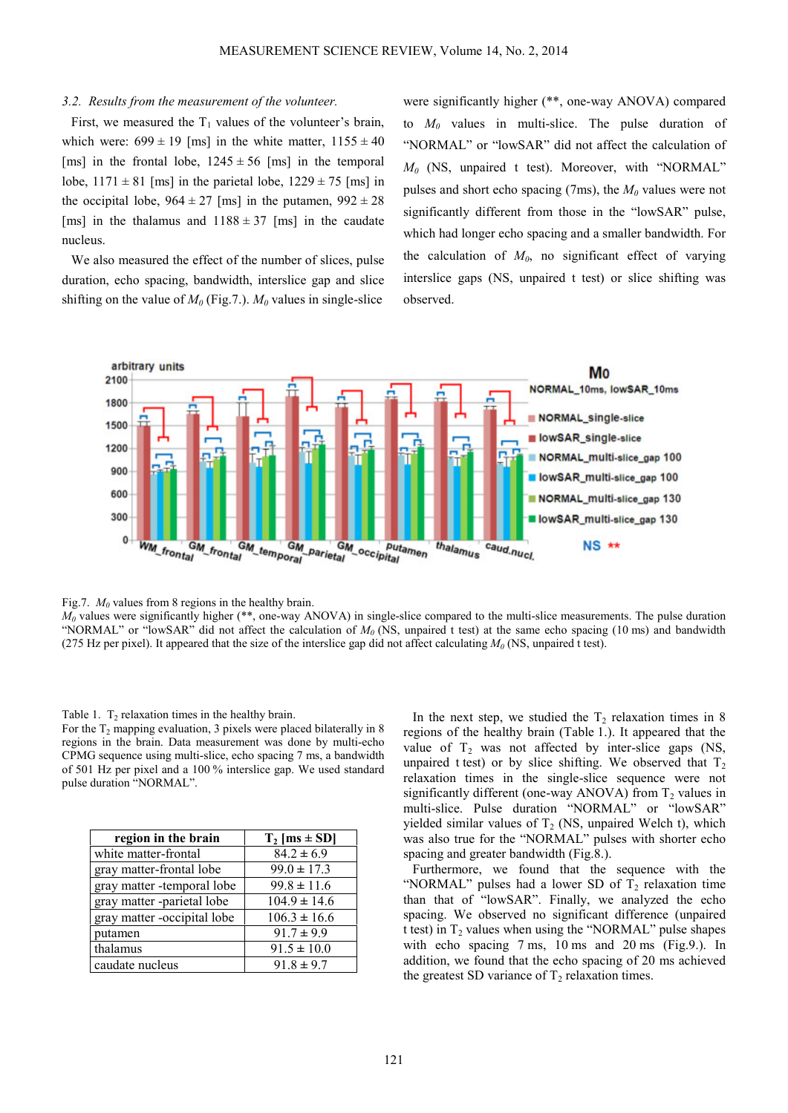#### *3.2. Results from the measurement of the volunteer.*

First, we measured the  $T_1$  values of the volunteer's brain, which were:  $699 \pm 19$  [ms] in the white matter,  $1155 \pm 40$ [ms] in the frontal lobe,  $1245 \pm 56$  [ms] in the temporal lobe,  $1171 \pm 81$  [ms] in the parietal lobe,  $1229 \pm 75$  [ms] in the occipital lobe,  $964 \pm 27$  [ms] in the putamen,  $992 \pm 28$ [ms] in the thalamus and  $1188 \pm 37$  [ms] in the caudate nucleus.

We also measured the effect of the number of slices, pulse duration, echo spacing, bandwidth, interslice gap and slice shifting on the value of  $M_0$  (Fig.7.).  $M_0$  values in single-slice

were significantly higher (\*\*, one-way ANOVA) compared to  $M_0$  values in multi-slice. The pulse duration of "NORMAL" or "lowSAR" did not affect the calculation of *M0* (NS, unpaired t test). Moreover, with "NORMAL" pulses and short echo spacing (7ms), the *M0* values were not significantly different from those in the "lowSAR" pulse, which had longer echo spacing and a smaller bandwidth. For the calculation of  $M_0$ , no significant effect of varying interslice gaps (NS, unpaired t test) or slice shifting was observed.



Fig.7.  $M_0$  values from 8 regions in the healthy brain.

 $M_0$  values were significantly higher (\*\*, one-way ANOVA) in single-slice compared to the multi-slice measurements. The pulse duration "NORMAL" or "lowSAR" did not affect the calculation of *M<sup>0</sup>* (NS, unpaired t test) at the same echo spacing (10 ms) and bandwidth (275 Hz per pixel). It appeared that the size of the interslice gap did not affect calculating  $M_0$  (NS, unpaired t test).

#### Table 1.  $T_2$  relaxation times in the healthy brain.

For the  $T_2$  mapping evaluation, 3 pixels were placed bilaterally in 8 regions in the brain. Data measurement was done by multi-echo CPMG sequence using multi-slice, echo spacing 7 ms, a bandwidth of 501 Hz per pixel and a 100 % interslice gap. We used standard pulse duration "NORMAL".

| region in the brain         | $T_2$ [ms $\pm$ SD] |
|-----------------------------|---------------------|
| white matter-frontal        | $84.2 \pm 6.9$      |
| gray matter-frontal lobe    | $99.0 \pm 17.3$     |
| gray matter -temporal lobe  | $99.8 \pm 11.6$     |
| gray matter -parietal lobe  | $104.9 \pm 14.6$    |
| gray matter -occipital lobe | $106.3 \pm 16.6$    |
| putamen                     | $91.7 \pm 9.9$      |
| thalamus                    | $91.5 \pm 10.0$     |
| caudate nucleus             | $91.8 \pm 9.7$      |

In the next step, we studied the  $T_2$  relaxation times in 8 regions of the healthy brain (Table 1.). It appeared that the value of  $T_2$  was not affected by inter-slice gaps (NS, unpaired t test) or by slice shifting. We observed that  $T_2$ relaxation times in the single-slice sequence were not significantly different (one-way ANOVA) from  $T<sub>2</sub>$  values in multi-slice. Pulse duration "NORMAL" or "lowSAR" yielded similar values of  $T_2$  (NS, unpaired Welch t), which was also true for the "NORMAL" pulses with shorter echo spacing and greater bandwidth (Fig.8.).

Furthermore, we found that the sequence with the "NORMAL" pulses had a lower SD of  $T_2$  relaxation time than that of "lowSAR". Finally, we analyzed the echo spacing. We observed no significant difference (unpaired t test) in  $T_2$  values when using the "NORMAL" pulse shapes with echo spacing 7 ms, 10 ms and 20 ms (Fig.9.). In addition, we found that the echo spacing of 20 ms achieved the greatest SD variance of  $T_2$  relaxation times.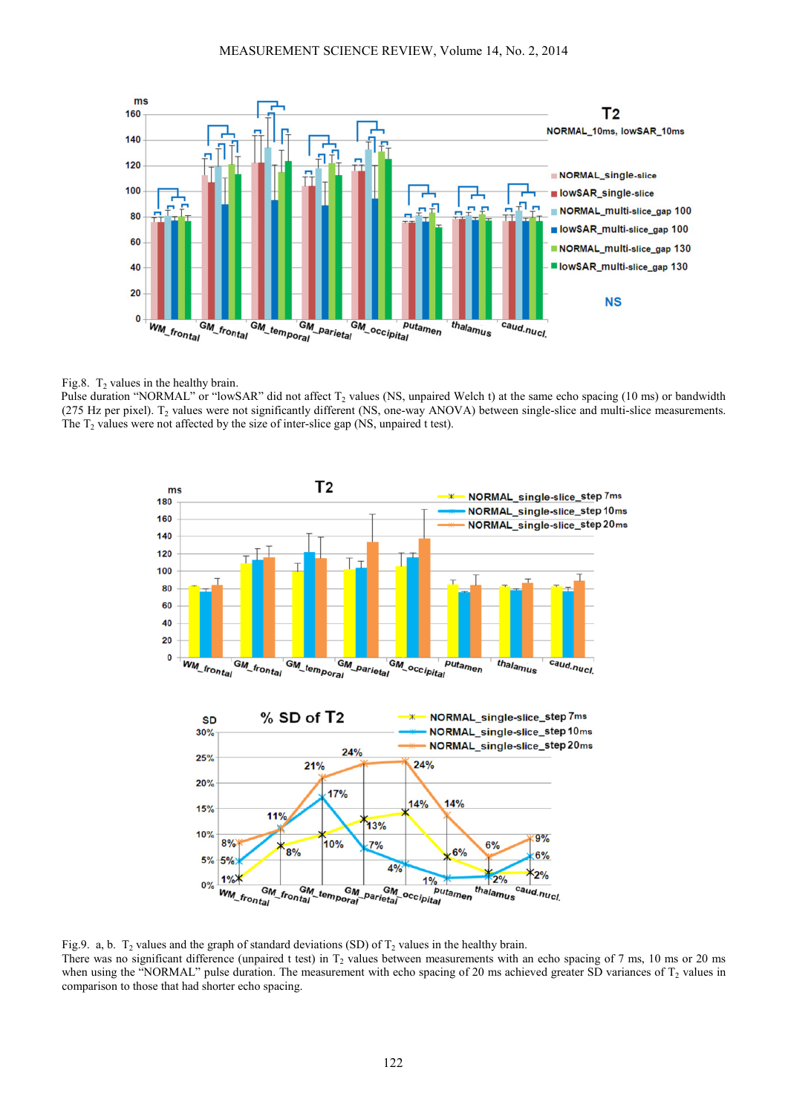

# Fig.8.  $T_2$  values in the healthy brain.

Pulse duration "NORMAL" or "lowSAR" did not affect  $T_2$  values (NS, unpaired Welch t) at the same echo spacing (10 ms) or bandwidth (275 Hz per pixel).  $T_2$  values were not significantly different (NS, one-way ANOVA) between single-slice and multi-slice measurements. The  $T_2$  values were not affected by the size of inter-slice gap (NS, unpaired t test).



Fig.9. a, b.  $T_2$  values and the graph of standard deviations (SD) of  $T_2$  values in the healthy brain. There was no significant difference (unpaired t test) in  $T_2$  values between measurements with an echo spacing of 7 ms, 10 ms or 20 ms when using the "NORMAL" pulse duration. The measurement with echo spacing of 20 ms achieved greater SD variances of  $T_2$  values in comparison to those that had shorter echo spacing.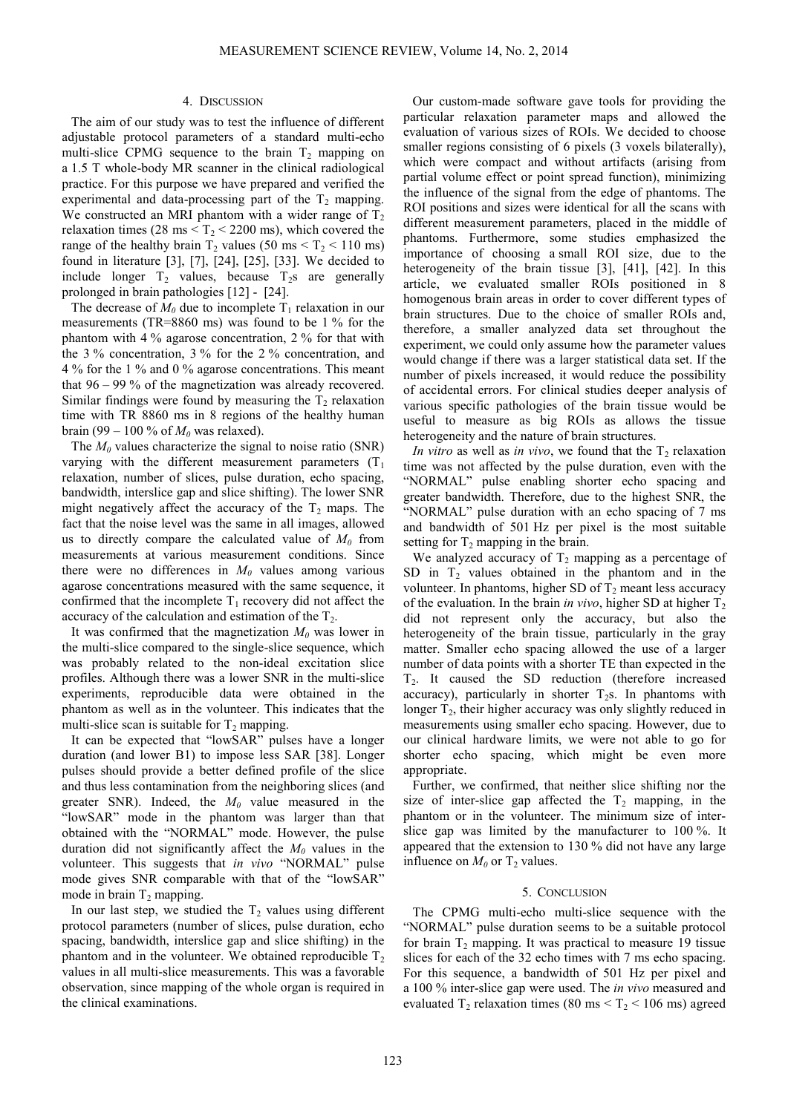#### 4. DISCUSSION

The aim of our study was to test the influence of different adjustable protocol parameters of a standard multi-echo multi-slice CPMG sequence to the brain  $T_2$  mapping on a 1.5 T whole-body MR scanner in the clinical radiological practice. For this purpose we have prepared and verified the experimental and data-processing part of the  $T_2$  mapping. We constructed an MRI phantom with a wider range of  $T_2$ relaxation times (28 ms  $\leq$  T<sub>2</sub>  $\leq$  2200 ms), which covered the range of the healthy brain  $T_2$  values (50 ms  $\leq T_2 \leq 110$  ms) found in literature [3], [7], [24], [25], [33]. We decided to include longer  $T_2$  values, because  $T_2$ s are generally prolonged in brain pathologies [12] - [24].

The decrease of  $M_0$  due to incomplete  $T_1$  relaxation in our measurements (TR=8860 ms) was found to be 1 % for the phantom with 4 % agarose concentration, 2 % for that with the 3 % concentration, 3 % for the 2 % concentration, and 4 % for the 1 % and 0 % agarose concentrations. This meant that 96 – 99 % of the magnetization was already recovered. Similar findings were found by measuring the  $T<sub>2</sub>$  relaxation time with TR 8860 ms in 8 regions of the healthy human brain (99 – 100 % of  $M_0$  was relaxed).

The  $M_0$  values characterize the signal to noise ratio (SNR) varying with the different measurement parameters  $(T_1)$ relaxation, number of slices, pulse duration, echo spacing, bandwidth, interslice gap and slice shifting). The lower SNR might negatively affect the accuracy of the  $T_2$  maps. The fact that the noise level was the same in all images, allowed us to directly compare the calculated value of  $M_0$  from measurements at various measurement conditions. Since there were no differences in  $M<sub>0</sub>$  values among various agarose concentrations measured with the same sequence, it confirmed that the incomplete  $T_1$  recovery did not affect the accuracy of the calculation and estimation of the  $T_2$ .

It was confirmed that the magnetization  $M_0$  was lower in the multi-slice compared to the single-slice sequence, which was probably related to the non-ideal excitation slice profiles. Although there was a lower SNR in the multi-slice experiments, reproducible data were obtained in the phantom as well as in the volunteer. This indicates that the multi-slice scan is suitable for  $T_2$  mapping.

It can be expected that "lowSAR" pulses have a longer duration (and lower B1) to impose less SAR [38]. Longer pulses should provide a better defined profile of the slice and thus less contamination from the neighboring slices (and greater SNR). Indeed, the  $M_0$  value measured in the "lowSAR" mode in the phantom was larger than that obtained with the "NORMAL" mode. However, the pulse duration did not significantly affect the  $M_0$  values in the volunteer. This suggests that *in vivo* "NORMAL" pulse mode gives SNR comparable with that of the "lowSAR" mode in brain  $T_2$  mapping.

In our last step, we studied the  $T_2$  values using different protocol parameters (number of slices, pulse duration, echo spacing, bandwidth, interslice gap and slice shifting) in the phantom and in the volunteer. We obtained reproducible  $T<sub>2</sub>$ values in all multi-slice measurements. This was a favorable observation, since mapping of the whole organ is required in the clinical examinations.

Our custom-made software gave tools for providing the particular relaxation parameter maps and allowed the evaluation of various sizes of ROIs. We decided to choose smaller regions consisting of 6 pixels (3 voxels bilaterally), which were compact and without artifacts (arising from partial volume effect or point spread function), minimizing the influence of the signal from the edge of phantoms. The ROI positions and sizes were identical for all the scans with different measurement parameters, placed in the middle of phantoms. Furthermore, some studies emphasized the importance of choosing a small ROI size, due to the heterogeneity of the brain tissue [3], [41], [42]. In this article, we evaluated smaller ROIs positioned in 8 homogenous brain areas in order to cover different types of brain structures. Due to the choice of smaller ROIs and, therefore, a smaller analyzed data set throughout the experiment, we could only assume how the parameter values would change if there was a larger statistical data set. If the number of pixels increased, it would reduce the possibility of accidental errors. For clinical studies deeper analysis of various specific pathologies of the brain tissue would be useful to measure as big ROIs as allows the tissue heterogeneity and the nature of brain structures.

*In vitro* as well as *in vivo*, we found that the  $T_2$  relaxation time was not affected by the pulse duration, even with the "NORMAL" pulse enabling shorter echo spacing and greater bandwidth. Therefore, due to the highest SNR, the "NORMAL" pulse duration with an echo spacing of 7 ms and bandwidth of 501 Hz per pixel is the most suitable setting for  $T_2$  mapping in the brain.

We analyzed accuracy of  $T_2$  mapping as a percentage of SD in  $T_2$  values obtained in the phantom and in the volunteer. In phantoms, higher SD of  $T_2$  meant less accuracy of the evaluation. In the brain *in vivo*, higher SD at higher  $T_2$ did not represent only the accuracy, but also the heterogeneity of the brain tissue, particularly in the gray matter. Smaller echo spacing allowed the use of a larger number of data points with a shorter TE than expected in the T2. It caused the SD reduction (therefore increased accuracy), particularly in shorter  $T_2$ s. In phantoms with longer  $T_2$ , their higher accuracy was only slightly reduced in measurements using smaller echo spacing. However, due to our clinical hardware limits, we were not able to go for shorter echo spacing, which might be even more appropriate.

Further, we confirmed, that neither slice shifting nor the size of inter-slice gap affected the  $T_2$  mapping, in the phantom or in the volunteer. The minimum size of interslice gap was limited by the manufacturer to 100 %. It appeared that the extension to 130 % did not have any large influence on  $M_0$  or  $T_2$  values.

#### 5. CONCLUSION

The CPMG multi-echo multi-slice sequence with the "NORMAL" pulse duration seems to be a suitable protocol for brain  $T_2$  mapping. It was practical to measure 19 tissue slices for each of the 32 echo times with 7 ms echo spacing. For this sequence, a bandwidth of 501 Hz per pixel and a 100 % inter-slice gap were used. The *in vivo* measured and evaluated  $T_2$  relaxation times (80 ms  $T_2$  < 106 ms) agreed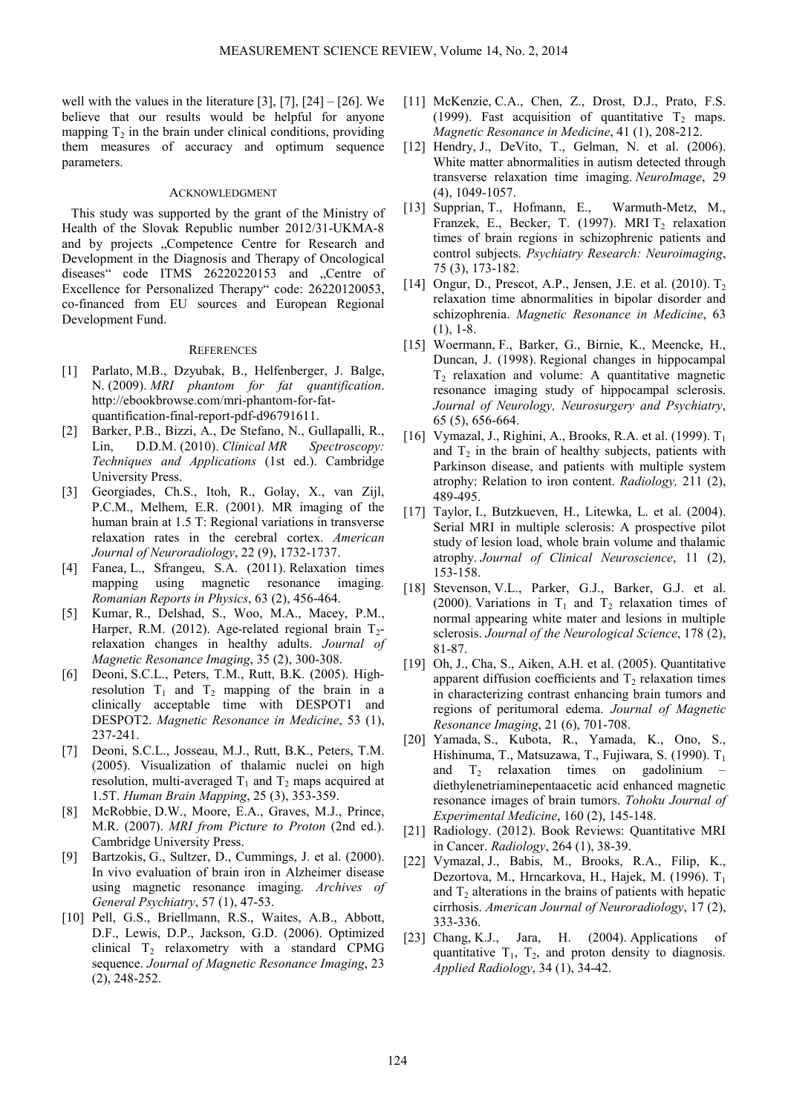well with the values in the literature  $[3]$ ,  $[7]$ ,  $[24]$  –  $[26]$ . We believe that our results would be helpful for anyone mapping  $T_2$  in the brain under clinical conditions, providing them measures of accuracy and optimum sequence parameters.

# ACKNOWLEDGMENT

This study was supported by the grant of the Ministry of Health of the Slovak Republic number 2012/31-UKMA-8 and by projects . Competence Centre for Research and Development in the Diagnosis and Therapy of Oncological diseases" code ITMS 26220220153 and "Centre of Excellence for Personalized Therapy" code: 26220120053, co-financed from EU sources and European Regional Development Fund.

#### **REFERENCES**

- [1] Parlato, M.B., Dzyubak, B., Helfenberger, J. Balge, N. (2009). *MRI phantom for fat quantification*. http://ebookbrowse.com/mri-phantom-for-fatquantification-final-report-pdf-d96791611.
- [2] Barker, P.B., Bizzi, A., De Stefano, N., Gullapalli, R., Lin, D.D.M. (2010). *Clinical MR Spectroscopy: Techniques and Applications* (1st ed.). Cambridge University Press.
- [3] Georgiades, Ch.S., Itoh, R., Golay, X., van Zijl, P.C.M., Melhem, E.R. (2001). MR imaging of the human brain at 1.5 T: Regional variations in transverse relaxation rates in the cerebral cortex. *American Journal of Neuroradiology*, 22 (9), 1732-1737.
- [4] Fanea, L., Sfrangeu, S.A. (2011). Relaxation times mapping using magnetic resonance imaging. *Romanian Reports in Physics*, 63 (2), 456-464.
- [5] Kumar, R., Delshad, S., Woo, M.A., Macey, P.M., Harper, R.M. (2012). Age-related regional brain  $T_2$ relaxation changes in healthy adults. *Journal of Magnetic Resonance Imaging*, 35 (2), 300-308.
- [6] Deoni, S.C.L., Peters, T.M., Rutt, B.K. (2005). Highresolution  $T_1$  and  $T_2$  mapping of the brain in a clinically acceptable time with DESPOT1 and DESPOT2. *Magnetic Resonance in Medicine*, 53 (1), 237-241.
- [7] Deoni, S.C.L., Josseau, M.J., Rutt, B.K., Peters, T.M. (2005). Visualization of thalamic nuclei on high resolution, multi-averaged  $T_1$  and  $T_2$  maps acquired at 1.5T. *Human Brain Mapping*, 25 (3), 353-359.
- [8] McRobbie, D.W., Moore, E.A., Graves, M.J., Prince, M.R. (2007). *MRI from Picture to Proton* (2nd ed.). Cambridge University Press.
- [9] Bartzokis, G., Sultzer, D., Cummings, J. et al. (2000). In vivo evaluation of brain iron in Alzheimer disease using magnetic resonance imaging. *Archives of General Psychiatry*, 57 (1), 47-53.
- [10] Pell, G.S., Briellmann, R.S., Waites, A.B., Abbott, D.F., Lewis, D.P., Jackson, G.D. (2006). Optimized clinical  $T_2$  relaxometry with a standard CPMG sequence. *Journal of Magnetic Resonance Imaging*, 23 (2), 248-252.
- [11] McKenzie, C.A., Chen, Z., Drost, D.J., Prato, F.S. (1999). Fast acquisition of quantitative  $T_2$  maps. *Magnetic Resonance in Medicine*, 41 (1), 208-212.
- [12] Hendry, J., DeVito, T., Gelman, N. et al. (2006). White matter abnormalities in autism detected through transverse relaxation time imaging. *NeuroImage*, 29 (4), 1049-1057.
- [13] Supprian, T., Hofmann, E., Warmuth-Metz, M., Franzek, E., Becker, T. (1997). MRI  $T_2$  relaxation times of brain regions in schizophrenic patients and control subjects. *Psychiatry Research: Neuroimaging*, 75 (3), 173-182.
- [14] Ongur, D., Prescot, A.P., Jensen, J.E. et al.  $(2010)$ . T<sub>2</sub> relaxation time abnormalities in bipolar disorder and schizophrenia. *Magnetic Resonance in Medicine*, 63  $(1), 1-8.$
- [15] Woermann, F., Barker, G., Birnie, K., Meencke, H., Duncan, J. (1998). Regional changes in hippocampal  $T<sub>2</sub>$  relaxation and volume: A quantitative magnetic resonance imaging study of hippocampal sclerosis. *Journal of Neurology, Neurosurgery and Psychiatry*, 65 (5), 656-664.
- [16] Vymazal, J., Righini, A., Brooks, R.A. et al. (1999).  $T_1$ and  $T_2$  in the brain of healthy subjects, patients with Parkinson disease, and patients with multiple system atrophy: Relation to iron content. *Radiology,* 211 (2), 489-495.
- [17] Taylor, I., Butzkueven, H., Litewka, L. et al. (2004). Serial MRI in multiple sclerosis: A prospective pilot study of lesion load, whole brain volume and thalamic atrophy. *Journal of Clinical Neuroscience*, 11 (2), 153-158.
- [18] Stevenson, V.L., Parker, G.J., Barker, G.J. et al. (2000). Variations in  $T_1$  and  $T_2$  relaxation times of normal appearing white mater and lesions in multiple sclerosis. *Journal of the Neurological Science*, 178 (2), 81-87.
- [19] Oh, J., Cha, S., Aiken, A.H. et al. (2005). Quantitative apparent diffusion coefficients and  $T<sub>2</sub>$  relaxation times in characterizing contrast enhancing brain tumors and regions of peritumoral edema. *Journal of Magnetic Resonance Imaging*, 21 (6), 701-708.
- [20] Yamada, S., Kubota, R., Yamada, K., Ono, S., Hishinuma, T., Matsuzawa, T., Fujiwara, S. (1990). T<sub>1</sub> and  $T_2$  relaxation times on gadolinium diethylenetriaminepentaacetic acid enhanced magnetic resonance images of brain tumors. *Tohoku Journal of Experimental Medicine*, 160 (2), 145-148.
- [21] Radiology. (2012). Book Reviews: Quantitative MRI in Cancer. *Radiology*, 264 (1), 38-39.
- [22] Vymazal, J., Babis, M., Brooks, R.A., Filip, K., Dezortova, M., Hrncarkova, H., Hajek, M. (1996). T<sub>1</sub> and  $T<sub>2</sub>$  alterations in the brains of patients with hepatic cirrhosis. *American Journal of Neuroradiology*, 17 (2), 333-336.
- [23] Chang, K.J., Jara, H. (2004). Applications of quantitative  $T_1$ ,  $T_2$ , and proton density to diagnosis. *Applied Radiology*, 34 (1), 34-42.